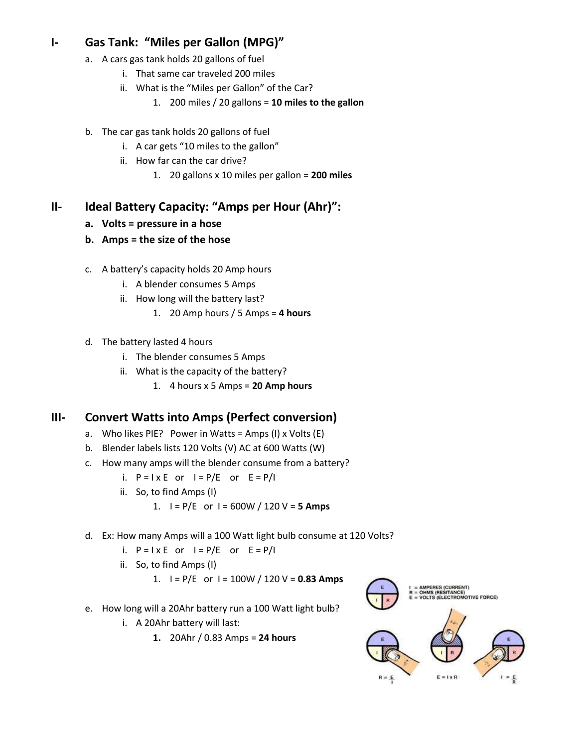# **I- Gas Tank: "Miles per Gallon (MPG)"**

- a. A cars gas tank holds 20 gallons of fuel
	- i. That same car traveled 200 miles
	- ii. What is the "Miles per Gallon" of the Car?
		- 1. 200 miles / 20 gallons = **10 miles to the gallon**
- b. The car gas tank holds 20 gallons of fuel
	- i. A car gets "10 miles to the gallon"
	- ii. How far can the car drive?
		- 1. 20 gallons x 10 miles per gallon = **200 miles**

## **II- Ideal Battery Capacity: "Amps per Hour (Ahr)":**

- **a. Volts = pressure in a hose**
- **b. Amps = the size of the hose**
- c. A battery's capacity holds 20 Amp hours
	- i. A blender consumes 5 Amps
	- ii. How long will the battery last?
		- 1. 20 Amp hours / 5 Amps = **4 hours**
- d. The battery lasted 4 hours
	- i. The blender consumes 5 Amps
	- ii. What is the capacity of the battery?
		- 1. 4 hours x 5 Amps = **20 Amp hours**

## **III- Convert Watts into Amps (Perfect conversion)**

- a. Who likes PIE? Power in Watts = Amps (I) x Volts (E)
- b. Blender labels lists 120 Volts (V) AC at 600 Watts (W)
- c. How many amps will the blender consume from a battery?
	- i.  $P = I \times E$  or  $I = P/E$  or  $E = P/I$
	- ii. So, to find Amps (I)
		- 1.  $I = P/E$  or  $I = 600W / 120V = 5$  Amps
- d. Ex: How many Amps will a 100 Watt light bulb consume at 120 Volts?
	- i.  $P = I \times E$  or  $I = P/E$  or  $E = P/I$
	- ii. So, to find Amps (I)
		- 1. I = P/E or I = 100W / 120 V = **0.83 Amps**
- e. How long will a 20Ahr battery run a 100 Watt light bulb?
	- i. A 20Ahr battery will last:
		- **1.** 20Ahr / 0.83 Amps = **24 hours**